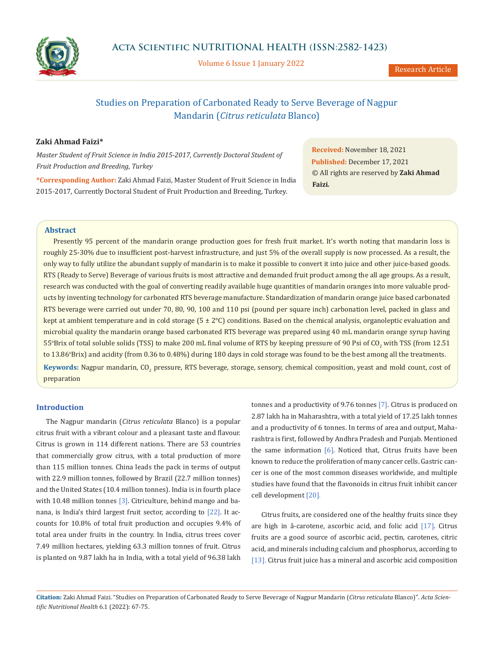

Volume 6 Issue 1 January 2022

# Studies on Preparation of Carbonated Ready to Serve Beverage of Nagpur Mandarin (*Citrus reticulata* Blanco)

# **Zaki Ahmad Faizi\***

*Master Student of Fruit Science in India 2015-2017, Currently Doctoral Student of Fruit Production and Breeding, Turkey*

**\*Corresponding Author:** Zaki Ahmad Faizi, Master Student of Fruit Science in India 2015-2017, Currently Doctoral Student of Fruit Production and Breeding, Turkey.

**Received:** November 18, 2021 **Published:** December 17, 2021 © All rights are reserved by **Zaki Ahmad Faizi***.*

## **Abstract**

Presently 95 percent of the mandarin orange production goes for fresh fruit market. It's worth noting that mandarin loss is roughly 25-30% due to insufficient post-harvest infrastructure, and just 5% of the overall supply is now processed. As a result, the only way to fully utilize the abundant supply of mandarin is to make it possible to convert it into juice and other juice-based goods. RTS (Ready to Serve) Beverage of various fruits is most attractive and demanded fruit product among the all age groups. As a result, research was conducted with the goal of converting readily available huge quantities of mandarin oranges into more valuable products by inventing technology for carbonated RTS beverage manufacture. Standardization of mandarin orange juice based carbonated RTS beverage were carried out under 70, 80, 90, 100 and 110 psi (pound per square inch) carbonation level, packed in glass and kept at ambient temperature and in cold storage (5 ± 2°C) conditions. Based on the chemical analysis, organoleptic evaluation and microbial quality the mandarin orange based carbonated RTS beverage was prepared using 40 mL mandarin orange syrup having 55°Brix of total soluble solids (TSS) to make 200 mL final volume of RTS by keeping pressure of 90 Psi of CO<sub>2</sub> with TSS (from 12.51 to 13.86°Brix) and acidity (from 0.36 to 0.48%) during 180 days in cold storage was found to be the best among all the treatments. **Keywords:** Nagpur mandarin, CO<sub>2</sub> pressure, RTS beverage, storage, sensory, chemical composition, yeast and mold count, cost of preparation

## **Introduction**

The Nagpur mandarin (*Citrus reticulata* Blanco) is a popular citrus fruit with a vibrant colour and a pleasant taste and flavour. Citrus is grown in 114 different nations. There are 53 countries that commercially grow citrus, with a total production of more than 115 million tonnes. China leads the pack in terms of output with 22.9 million tonnes, followed by Brazil (22.7 million tonnes) and the United States (10.4 million tonnes). India is in fourth place with 10.48 million tonnes [3]. Citriculture, behind mango and banana, is India's third largest fruit sector, according to [22]. It accounts for 10.8% of total fruit production and occupies 9.4% of total area under fruits in the country. In India, citrus trees cover 7.49 million hectares, yielding 63.3 million tonnes of fruit. Citrus is planted on 9.87 lakh ha in India, with a total yield of 96.38 lakh

tonnes and a productivity of 9.76 tonnes [7]. Citrus is produced on 2.87 lakh ha in Maharashtra, with a total yield of 17.25 lakh tonnes and a productivity of 6 tonnes. In terms of area and output, Maharashtra is first, followed by Andhra Pradesh and Punjab. Mentioned the same information  $[6]$ . Noticed that, Citrus fruits have been known to reduce the proliferation of many cancer cells. Gastric cancer is one of the most common diseases worldwide, and multiple studies have found that the flavonoids in citrus fruit inhibit cancer cell development [20].

Citrus fruits, are considered one of the healthy fruits since they are high in â-carotene, ascorbic acid, and folic acid [17]. Citrus fruits are a good source of ascorbic acid, pectin, carotenes, citric acid, and minerals including calcium and phosphorus, according to [13]. Citrus fruit juice has a mineral and ascorbic acid composition

**Citation:** Zaki Ahmad Faizi. "Studies on Preparation of Carbonated Ready to Serve Beverage of Nagpur Mandarin (*Citrus reticulata* Blanco)". *Acta Scientific Nutritional Health* 6.1 (2022): 67-75.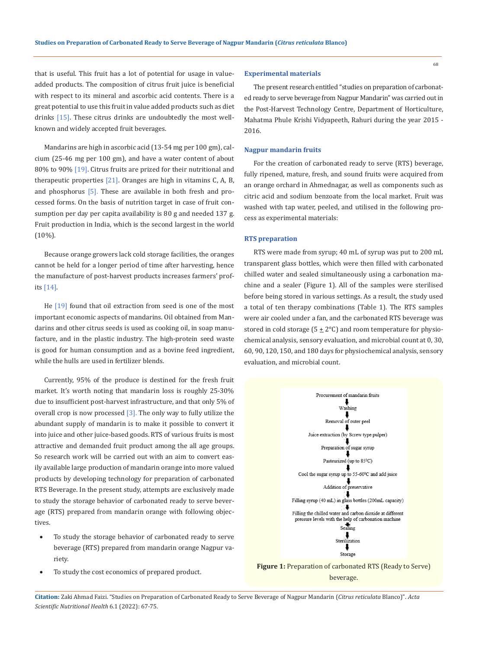that is useful. This fruit has a lot of potential for usage in valueadded products. The composition of citrus fruit juice is beneficial with respect to its mineral and ascorbic acid contents. There is a great potential to use this fruit in value added products such as diet drinks [15]. These citrus drinks are undoubtedly the most wellknown and widely accepted fruit beverages.

Mandarins are high in ascorbic acid (13-54 mg per 100 gm), calcium (25-46 mg per 100 gm), and have a water content of about 80% to 90% [19]. Citrus fruits are prized for their nutritional and therapeutic properties  $[21]$ . Oranges are high in vitamins C, A, B, and phosphorus  $[5]$ . These are available in both fresh and processed forms. On the basis of nutrition target in case of fruit consumption per day per capita availability is 80 g and needed 137 g. Fruit production in India, which is the second largest in the world (10%).

Because orange growers lack cold storage facilities, the oranges cannot be held for a longer period of time after harvesting, hence the manufacture of post-harvest products increases farmers' profits [14].

He [19] found that oil extraction from seed is one of the most important economic aspects of mandarins. Oil obtained from Mandarins and other citrus seeds is used as cooking oil, in soap manufacture, and in the plastic industry. The high-protein seed waste is good for human consumption and as a bovine feed ingredient, while the hulls are used in fertilizer blends.

Currently, 95% of the produce is destined for the fresh fruit market. It's worth noting that mandarin loss is roughly 25-30% due to insufficient post-harvest infrastructure, and that only 5% of overall crop is now processed  $[3]$ . The only way to fully utilize the abundant supply of mandarin is to make it possible to convert it into juice and other juice-based goods. RTS of various fruits is most attractive and demanded fruit product among the all age groups. So research work will be carried out with an aim to convert easily available large production of mandarin orange into more valued products by developing technology for preparation of carbonated RTS Beverage. In the present study, attempts are exclusively made to study the storage behavior of carbonated ready to serve beverage (RTS) prepared from mandarin orange with following objectives.

- To study the storage behavior of carbonated ready to serve beverage (RTS) prepared from mandarin orange Nagpur variety.
- To study the cost economics of prepared product.

## **Experimental materials**

The present research entitled "studies on preparation of carbonated ready to serve beverage from Nagpur Mandarin" was carried out in the Post-Harvest Technology Centre, Department of Horticulture, Mahatma Phule Krishi Vidyapeeth, Rahuri during the year 2015 - 2016*.*

## **Nagpur mandarin fruits**

For the creation of carbonated ready to serve (RTS) beverage, fully ripened, mature, fresh, and sound fruits were acquired from an orange orchard in Ahmednagar, as well as components such as citric acid and sodium benzoate from the local market. Fruit was washed with tap water, peeled, and utilised in the following process as experimental materials:

#### **RTS preparation**

RTS were made from syrup; 40 mL of syrup was put to 200 mL transparent glass bottles, which were then filled with carbonated chilled water and sealed simultaneously using a carbonation machine and a sealer (Figure 1). All of the samples were sterilised before being stored in various settings. As a result, the study used a total of ten therapy combinations (Table 1). The RTS samples were air cooled under a fan, and the carbonated RTS beverage was stored in cold storage ( $5 \pm 2$ °C) and room temperature for physiochemical analysis, sensory evaluation, and microbial count at 0, 30, 60, 90, 120, 150, and 180 days for physiochemical analysis, sensory evaluation, and microbial count.



**Figure 1:** Preparation of carbonated RTS (Ready to Serve) beverage.

**Citation:** Zaki Ahmad Faizi. "Studies on Preparation of Carbonated Ready to Serve Beverage of Nagpur Mandarin (*Citrus reticulata* Blanco)". *Acta Scientific Nutritional Health* 6.1 (2022): 67-75.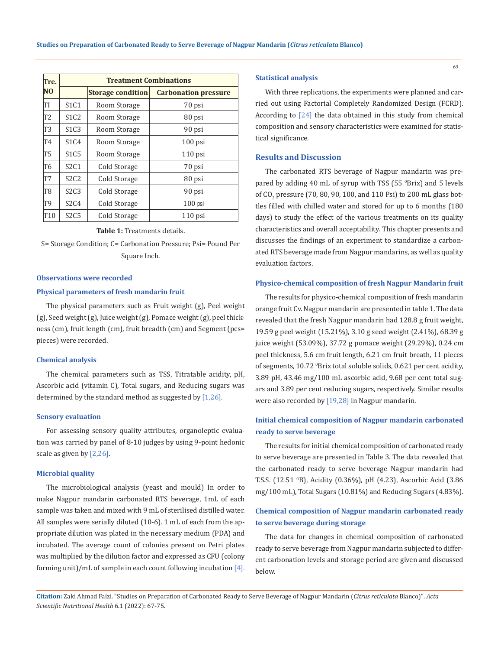| Tre.            | <b>Treatment Combinations</b> |                          |                             |  |  |  |  |  |  |  |  |
|-----------------|-------------------------------|--------------------------|-----------------------------|--|--|--|--|--|--|--|--|
| N <sub>0</sub>  |                               | <b>Storage condition</b> | <b>Carbonation pressure</b> |  |  |  |  |  |  |  |  |
| TI              | S1C1                          | Room Storage             | 70 psi                      |  |  |  |  |  |  |  |  |
| T <sub>2</sub>  | S1C2                          | Room Storage             | 80 psi                      |  |  |  |  |  |  |  |  |
| T3              | S1C3                          | Room Storage             | 90 psi                      |  |  |  |  |  |  |  |  |
| T4              | S1C4                          | Room Storage             | $100$ psi                   |  |  |  |  |  |  |  |  |
| T5              | S <sub>1</sub> C <sub>5</sub> | Room Storage             | $110$ psi                   |  |  |  |  |  |  |  |  |
| T6              | S2C1                          | Cold Storage             | 70 psi                      |  |  |  |  |  |  |  |  |
| T7              | S2C2                          | Cold Storage             | 80 psi                      |  |  |  |  |  |  |  |  |
| T8              | S2C3                          | Cold Storage             | 90 psi                      |  |  |  |  |  |  |  |  |
| T9              | S2C4                          | Cold Storage             | $100$ psi                   |  |  |  |  |  |  |  |  |
| T <sub>10</sub> | S2C5                          | Cold Storage             | $110$ psi                   |  |  |  |  |  |  |  |  |

#### **Table 1:** Treatments details.

S= Storage Condition; C= Carbonation Pressure; Psi= Pound Per Square Inch.

### **Observations were recorded**

#### **Physical parameters of fresh mandarin fruit**

The physical parameters such as Fruit weight (g), Peel weight (g), Seed weight (g), Juice weight (g), Pomace weight (g), peel thickness (cm), fruit length (cm), fruit breadth (cm) and Segment (pcs= pieces) were recorded.

#### **Chemical analysis**

The chemical parameters such as TSS, Titratable acidity, pH, Ascorbic acid (vitamin C), Total sugars, and Reducing sugars was determined by the standard method as suggested by  $[1,26]$ .

#### **Sensory evaluation**

For assessing sensory quality attributes, organoleptic evaluation was carried by panel of 8-10 judges by using 9-point hedonic scale as given by [2,26].

#### **Microbial quality**

The microbiological analysis (yeast and mould) In order to make Nagpur mandarin carbonated RTS beverage, 1mL of each sample was taken and mixed with 9 mL of sterilised distilled water. All samples were serially diluted (10-6). 1 mL of each from the appropriate dilution was plated in the necessary medium (PDA) and incubated. The average count of colonies present on Petri plates was multiplied by the dilution factor and expressed as CFU (colony forming unit)/mL of sample in each count following incubation [4].

### **Statistical analysis**

With three replications, the experiments were planned and carried out using Factorial Completely Randomized Design (FCRD). According to [24] the data obtained in this study from chemical composition and sensory characteristics were examined for statistical significance.

## **Results and Discussion**

The carbonated RTS beverage of Nagpur mandarin was prepared by adding 40 mL of syrup with TSS (55 °Brix) and 5 levels of CO<sub>2</sub> pressure (70, 80, 90, 100, and 110 Psi) to 200 mL glass bottles filled with chilled water and stored for up to 6 months (180 days) to study the effect of the various treatments on its quality characteristics and overall acceptability. This chapter presents and discusses the findings of an experiment to standardize a carbonated RTS beverage made from Nagpur mandarins, as well as quality evaluation factors.

#### **Physico-chemical composition of fresh Nagpur Mandarin fruit**

The results for physico-chemical composition of fresh mandarin orange fruit Cv. Nagpur mandarin are presented in table 1. The data revealed that the fresh Nagpur mandarin had 128.8 g fruit weight, 19.59 g peel weight (15.21%), 3.10 g seed weight (2.41%), 68.39 g juice weight (53.09%), 37.72 g pomace weight (29.29%), 0.24 cm peel thickness, 5.6 cm fruit length, 6.21 cm fruit breath, 11 pieces of segments, 10.72 <sup>o</sup>Brix total soluble solids, 0.621 per cent acidity, 3.89 pH, 43.46 mg/100 mL ascorbic acid, 9.68 per cent total sugars and 3.89 per cent reducing sugars, respectively. Similar results were also recorded by [19,28] in Nagpur mandarin.

# **Initial chemical composition of Nagpur mandarin carbonated ready to serve beverage**

The results for initial chemical composition of carbonated ready to serve beverage are presented in Table 3. The data revealed that the carbonated ready to serve beverage Nagpur mandarin had T.S.S. (12.51 <sup>0</sup> B), Acidity (0.36%), pH (4.23), Ascorbic Acid (3.86 mg/100 mL), Total Sugars (10.81%) and Reducing Sugars (4.83%).

# **Chemical composition of Nagpur mandarin carbonated ready to serve beverage during storage**

The data for changes in chemical composition of carbonated ready to serve beverage from Nagpur mandarin subjected to different carbonation levels and storage period are given and discussed below.

**Citation:** Zaki Ahmad Faizi. "Studies on Preparation of Carbonated Ready to Serve Beverage of Nagpur Mandarin (*Citrus reticulata* Blanco)". *Acta Scientific Nutritional Health* 6.1 (2022): 67-75.

69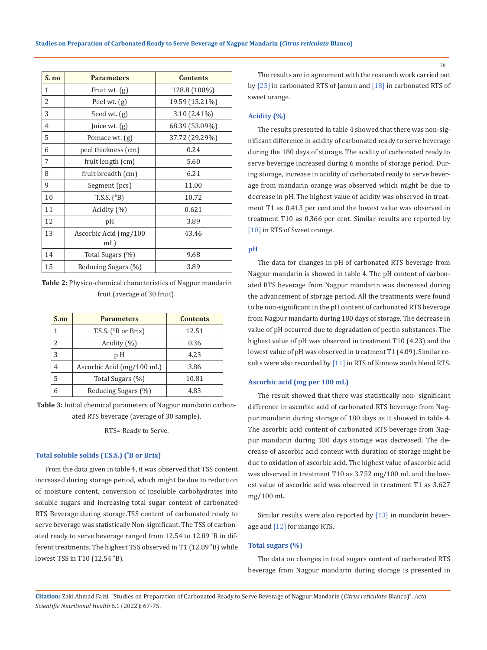| S. no | <b>Parameters</b>     | <b>Contents</b> |
|-------|-----------------------|-----------------|
| 1     | Fruit wt. (g)         | 128.8 (100%)    |
| 2     | Peel wt. $(g)$        | 19.59 (15.21%)  |
| 3     | Seed wt. (g)          | $3.10(2.41\%)$  |
| 4     | Juice wt. (g)         | 68.39 (53.09%)  |
| 5     | Pomace wt. (g)        | 37.72 (29.29%)  |
| 6     | peel thickness (cm)   | 0.24            |
| 7     | fruit length (cm)     | 5.60            |
| 8     | fruit breadth (cm)    | 6.21            |
| 9     | Segment (pcs)         | 11.00           |
| 10    | T.S.S. $(^{0}B)$      | 10.72           |
| 11    | Acidity (%)           | 0.621           |
| 12    | pH                    | 3.89            |
| 13    | Ascorbic Acid (mg/100 | 43.46           |
|       | mL                    |                 |
| 14    | Total Sugars (%)      | 9.68            |
| 15    | Reducing Sugars (%)   | 3.89            |

**Table 2:** Physico-chemical characteristics of Nagpur mandarin fruit (average of 30 fruit).

| S.no | <b>Parameters</b>         | <b>Contents</b> |
|------|---------------------------|-----------------|
|      | T.S.S. $(^{0}B$ or Brix)  | 12.51           |
|      | Acidity (%)               | 0.36            |
|      | рH                        | 4.23            |
|      | Ascorbic Acid (mg/100 mL) | 3.86            |
| 5    | Total Sugars (%)          | 10.81           |
|      | Reducing Sugars (%)       | 4.83            |

**Table 3:** Initial chemical parameters of Nagpur mandarin carbonated RTS beverage (average of 30 sample).

RTS= Ready to Serve.

## **Total soluble solids (T.S.S.) (˚B or Brix)**

From the data given in table 4, it was observed that TSS content increased during storage period, which might be due to reduction of moisture content, conversion of insoluble carbohydrates into soluble sugars and increasing total sugar content of carbonated RTS Beverage during storage.TSS content of carbonated ready to serve beverage was statistically Non-significant. The TSS of carbonated ready to serve beverage ranged from 12.54 to 12.89 ˚B in different treatments. The highest TSS observed in T1 (12.89 ˚B) while lowest TSS in T10 (12.54 ˚B).

The results are in agreement with the research work carried out by [25] in carbonated RTS of Jamun and [18] in carbonated RTS of sweet orange.

### **Acidity (%)**

The results presented in table 4 showed that there was non-significant difference in acidity of carbonated ready to serve beverage during the 180 days of storage. The acidity of carbonated ready to serve beverage increased during 6 months of storage period. During storage, increase in acidity of carbonated ready to serve beverage from mandarin orange was observed which might be due to decrease in pH. The highest value of acidity was observed in treatment T1 as 0.413 per cent and the lowest value was observed in treatment T10 as 0.366 per cent. Similar results are reported by [10] in RTS of Sweet orange.

#### **pH**

The data for changes in pH of carbonated RTS beverage from Nagpur mandarin is showed in table 4. The pH content of carbonated RTS beverage from Nagpur mandarin was decreased during the advancement of storage period. All the treatments were found to be non-significant in the pH content of carbonated RTS beverage from Nagpur mandarin during 180 days of storage. The decrease in value of pH occurred due to degradation of pectin substances. The highest value of pH was observed in treatment T10 (4.23) and the lowest value of pH was observed in treatment T1 (4.09). Similar results were also recorded by [11] in RTS of Kinnow aonla blend RTS.

#### **Ascorbic acid (mg per 100 mL)**

The result showed that there was statistically non- significant difference in ascorbic acid of carbonated RTS beverage from Nagpur mandarin during storage of 180 days as it showed in table 4. The ascorbic acid content of carbonated RTS beverage from Nagpur mandarin during 180 days storage was decreased. The decrease of ascorbic acid content with duration of storage might be due to oxidation of ascorbic acid. The highest value of ascorbic acid was observed in treatment T10 as 3.752 mg/100 mL and the lowest value of ascorbic acid was observed in treatment T1 as 3.627 mg/100 mL.

Similar results were also reported by [13] in mandarin beverage and [12] for mango RTS.

#### **Total sugars (%)**

The data on changes in total sugars content of carbonated RTS beverage from Nagpur mandarin during storage is presented in

**Citation:** Zaki Ahmad Faizi. "Studies on Preparation of Carbonated Ready to Serve Beverage of Nagpur Mandarin (*Citrus reticulata* Blanco)". *Acta Scientific Nutritional Health* 6.1 (2022): 67-75.

70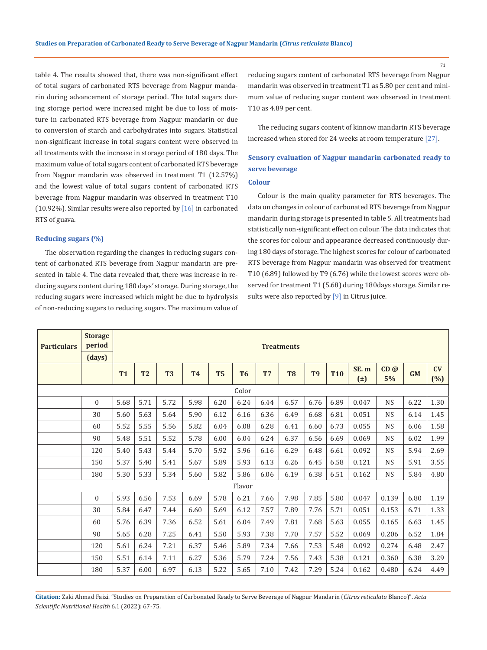table 4. The results showed that, there was non-significant effect of total sugars of carbonated RTS beverage from Nagpur mandarin during advancement of storage period. The total sugars during storage period were increased might be due to loss of moisture in carbonated RTS beverage from Nagpur mandarin or due to conversion of starch and carbohydrates into sugars. Statistical non-significant increase in total sugars content were observed in all treatments with the increase in storage period of 180 days. The maximum value of total sugars content of carbonated RTS beverage from Nagpur mandarin was observed in treatment T1 (12.57%) and the lowest value of total sugars content of carbonated RTS beverage from Nagpur mandarin was observed in treatment T10 (10.92%). Similar results were also reported by  $[16]$  in carbonated RTS of guava.

## **Reducing sugars (%)**

The observation regarding the changes in reducing sugars content of carbonated RTS beverage from Nagpur mandarin are presented in table 4. The data revealed that, there was increase in reducing sugars content during 180 days' storage. During storage, the reducing sugars were increased which might be due to hydrolysis of non-reducing sugars to reducing sugars. The maximum value of reducing sugars content of carbonated RTS beverage from Nagpur mandarin was observed in treatment T1 as 5.80 per cent and minimum value of reducing sugar content was observed in treatment T10 as 4.89 per cent.

The reducing sugars content of kinnow mandarin RTS beverage increased when stored for 24 weeks at room temperature [27].

# **Sensory evaluation of Nagpur mandarin carbonated ready to serve beverage**

## **Colour**

Colour is the main quality parameter for RTS beverages. The data on changes in colour of carbonated RTS beverage from Nagpur mandarin during storage is presented in table 5. All treatments had statistically non-significant effect on colour. The data indicates that the scores for colour and appearance decreased continuously during 180 days of storage. The highest scores for colour of carbonated RTS beverage from Nagpur mandarin was observed for treatment T10 (6.89) followed by T9 (6.76) while the lowest scores were observed for treatment T1 (5.68) during 180days storage. Similar results were also reported by [9] in Citrus juice.

| <b>Particulars</b> | <b>Storage</b><br>period<br>(days) | <b>Treatments</b> |                |                |           |                |                |                |                |                |            |                 |             |      |           |
|--------------------|------------------------------------|-------------------|----------------|----------------|-----------|----------------|----------------|----------------|----------------|----------------|------------|-----------------|-------------|------|-----------|
|                    |                                    | <b>T1</b>         | T <sub>2</sub> | T <sub>3</sub> | <b>T4</b> | T <sub>5</sub> | T <sub>6</sub> | T <sub>7</sub> | T <sub>8</sub> | T <sub>9</sub> | <b>T10</b> | SE.m<br>$(\pm)$ | CD@<br>5%   | GM   | CV<br>(%) |
|                    |                                    |                   |                |                |           |                | Color          |                |                |                |            |                 |             |      |           |
|                    | $\Omega$                           | 5.68              | 5.71           | 5.72           | 5.98      | 6.20           | 6.24           | 6.44           | 6.57           | 6.76           | 6.89       | 0.047           | <b>NS</b>   | 6.22 | 1.30      |
|                    | 30                                 | 5.60              | 5.63           | 5.64           | 5.90      | 6.12           | 6.16           | 6.36           | 6.49           | 6.68           | 6.81       | 0.051           | <b>NS</b>   | 6.14 | 1.45      |
|                    | 60                                 | 5.52              | 5.55           | 5.56           | 5.82      | 6.04           | 6.08           | 6.28           | 6.41           | 6.60           | 6.73       | 0.055           | <b>NS</b>   | 6.06 | 1.58      |
|                    | 90                                 | 5.48              | 5.51           | 5.52           | 5.78      | 6.00           | 6.04           | 6.24           | 6.37           | 6.56           | 6.69       | 0.069           | <b>NS</b>   | 6.02 | 1.99      |
|                    | 120                                | 5.40              | 5.43           | 5.44           | 5.70      | 5.92           | 5.96           | 6.16           | 6.29           | 6.48           | 6.61       | 0.092           | <b>NS</b>   | 5.94 | 2.69      |
|                    | 150                                | 5.37              | 5.40           | 5.41           | 5.67      | 5.89           | 5.93           | 6.13           | 6.26           | 6.45           | 6.58       | 0.121           | <b>NS</b>   | 5.91 | 3.55      |
|                    | 180                                | 5.30              | 5.33           | 5.34           | 5.60      | 5.82           | 5.86           | 6.06           | 6.19           | 6.38           | 6.51       | 0.162           | $_{\rm NS}$ | 5.84 | 4.80      |
|                    |                                    |                   |                |                |           |                | Flavor         |                |                |                |            |                 |             |      |           |
|                    | $\Omega$                           | 5.93              | 6.56           | 7.53           | 6.69      | 5.78           | 6.21           | 7.66           | 7.98           | 7.85           | 5.80       | 0.047           | 0.139       | 6.80 | 1.19      |
|                    | 30                                 | 5.84              | 6.47           | 7.44           | 6.60      | 5.69           | 6.12           | 7.57           | 7.89           | 7.76           | 5.71       | 0.051           | 0.153       | 6.71 | 1.33      |
|                    | 60                                 | 5.76              | 6.39           | 7.36           | 6.52      | 5.61           | 6.04           | 7.49           | 7.81           | 7.68           | 5.63       | 0.055           | 0.165       | 6.63 | 1.45      |
|                    | 90                                 | 5.65              | 6.28           | 7.25           | 6.41      | 5.50           | 5.93           | 7.38           | 7.70           | 7.57           | 5.52       | 0.069           | 0.206       | 6.52 | 1.84      |
|                    | 120                                | 5.61              | 6.24           | 7.21           | 6.37      | 5.46           | 5.89           | 7.34           | 7.66           | 7.53           | 5.48       | 0.092           | 0.274       | 6.48 | 2.47      |
|                    | 150                                | 5.51              | 6.14           | 7.11           | 6.27      | 5.36           | 5.79           | 7.24           | 7.56           | 7.43           | 5.38       | 0.121           | 0.360       | 6.38 | 3.29      |
|                    | 180                                | 5.37              | 6.00           | 6.97           | 6.13      | 5.22           | 5.65           | 7.10           | 7.42           | 7.29           | 5.24       | 0.162           | 0.480       | 6.24 | 4.49      |

**Citation:** Zaki Ahmad Faizi. "Studies on Preparation of Carbonated Ready to Serve Beverage of Nagpur Mandarin (*Citrus reticulata* Blanco)". *Acta Scientific Nutritional Health* 6.1 (2022): 67-75.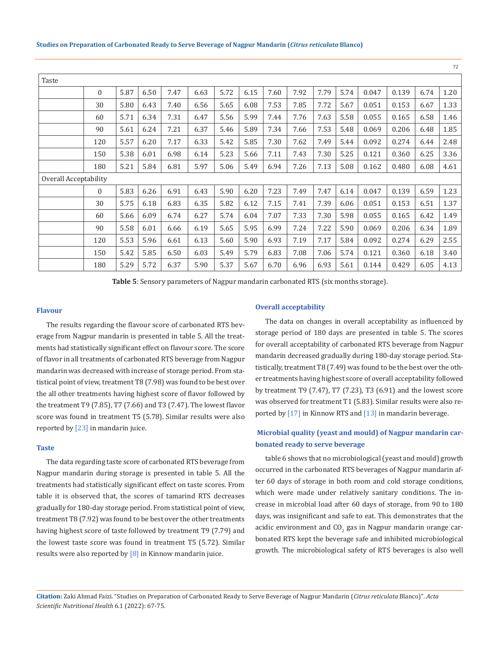|                       |              |      |      |      |      |      |      |      |      |      |      |       |       |      | 72   |
|-----------------------|--------------|------|------|------|------|------|------|------|------|------|------|-------|-------|------|------|
| Taste                 |              |      |      |      |      |      |      |      |      |      |      |       |       |      |      |
|                       | $\Omega$     | 5.87 | 6.50 | 7.47 | 6.63 | 5.72 | 6.15 | 7.60 | 7.92 | 7.79 | 5.74 | 0.047 | 0.139 | 6.74 | 1.20 |
|                       | 30           | 5.80 | 6.43 | 7.40 | 6.56 | 5.65 | 6.08 | 7.53 | 7.85 | 7.72 | 5.67 | 0.051 | 0.153 | 6.67 | 1.33 |
|                       | 60           | 5.71 | 6.34 | 7.31 | 6.47 | 5.56 | 5.99 | 7.44 | 7.76 | 7.63 | 5.58 | 0.055 | 0.165 | 6.58 | 1.46 |
|                       | 90           | 5.61 | 6.24 | 7.21 | 6.37 | 5.46 | 5.89 | 7.34 | 7.66 | 7.53 | 5.48 | 0.069 | 0.206 | 6.48 | 1.85 |
|                       | 120          | 5.57 | 6.20 | 7.17 | 6.33 | 5.42 | 5.85 | 7.30 | 7.62 | 7.49 | 5.44 | 0.092 | 0.274 | 6.44 | 2.48 |
|                       | 150          | 5.38 | 6.01 | 6.98 | 6.14 | 5.23 | 5.66 | 7.11 | 7.43 | 7.30 | 5.25 | 0.121 | 0.360 | 6.25 | 3.36 |
|                       | 180          | 5.21 | 5.84 | 6.81 | 5.97 | 5.06 | 5.49 | 6.94 | 7.26 | 7.13 | 5.08 | 0.162 | 0.480 | 6.08 | 4.61 |
| Overall Acceptability |              |      |      |      |      |      |      |      |      |      |      |       |       |      |      |
|                       | $\mathbf{0}$ | 5.83 | 6.26 | 6.91 | 6.43 | 5.90 | 6.20 | 7.23 | 7.49 | 7.47 | 6.14 | 0.047 | 0.139 | 6.59 | 1.23 |
|                       | 30           | 5.75 | 6.18 | 6.83 | 6.35 | 5.82 | 6.12 | 7.15 | 7.41 | 7.39 | 6.06 | 0.051 | 0.153 | 6.51 | 1.37 |
|                       | 60           | 5.66 | 6.09 | 6.74 | 6.27 | 5.74 | 6.04 | 7.07 | 7.33 | 7.30 | 5.98 | 0.055 | 0.165 | 6.42 | 1.49 |
|                       | 90           | 5.58 | 6.01 | 6.66 | 6.19 | 5.65 | 5.95 | 6.99 | 7.24 | 7.22 | 5.90 | 0.069 | 0.206 | 6.34 | 1.89 |
|                       | 120          | 5.53 | 5.96 | 6.61 | 6.13 | 5.60 | 5.90 | 6.93 | 7.19 | 7.17 | 5.84 | 0.092 | 0.274 | 6.29 | 2.55 |
|                       | 150          | 5.42 | 5.85 | 6.50 | 6.03 | 5.49 | 5.79 | 6.83 | 7.08 | 7.06 | 5.74 | 0.121 | 0.360 | 6.18 | 3.40 |
|                       | 180          | 5.29 | 5.72 | 6.37 | 5.90 | 5.37 | 5.67 | 6.70 | 6.96 | 6.93 | 5.61 | 0.144 | 0.429 | 6.05 | 4.13 |

**Table 5**: Sensory parameters of Nagpur mandarin carbonated RTS (six months storage).

#### **Flavour**

The results regarding the flavour score of carbonated RTS beverage from Nagpur mandarin is presented in table 5. All the treatments had statistically significant effect on flavour score. The score of flavor in all treatments of carbonated RTS beverage from Nagpur mandarin was decreased with increase of storage period. From statistical point of view, treatment T8 (7.98) was found to be best over the all other treatments having highest score of flavor followed by the treatment T9 (7.85), T7 (7.66) and T3 (7.47). The lowest flavor score was found in treatment T5 (5.78). Similar results were also reported by [23] in mandarin juice.

#### **Taste**

The data regarding taste score of carbonated RTS beverage from Nagpur mandarin during storage is presented in table 5. All the treatments had statistically significant effect on taste scores. From table it is observed that, the scores of tamarind RTS decreases gradually for 180-day storage period. From statistical point of view, treatment T8 (7.92) was found to be best over the other treatments having highest score of taste followed by treatment T9 (7.79) and the lowest taste score was found in treatment T5 (5.72). Similar results were also reported by  $[8]$  in Kinnow mandarin juice.

#### **Overall acceptability**

The data on changes in overall acceptability as influenced by storage period of 180 days are presented in table 5. The scores for overall acceptability of carbonated RTS beverage from Nagpur mandarin decreased gradually during 180-day storage period. Statistically, treatment T8 (7.49) was found to be the best over the other treatments having highest score of overall acceptability followed by treatment T9 (7.47), T7 (7.23), T3 (6.91) and the lowest score was observed for treatment T1 (5.83). Similar results were also reported by [17] in Kinnow RTS and [13] in mandarin beverage.

# **Microbial quality (yeast and mould) of Nagpur mandarin carbonated ready to serve beverage**

table 6 shows that no microbiological (yeast and mould) growth occurred in the carbonated RTS beverages of Nagpur mandarin after 60 days of storage in both room and cold storage conditions, which were made under relatively sanitary conditions. The increase in microbial load after 60 days of storage, from 90 to 180 days, was insignificant and safe to eat. This demonstrates that the acidic environment and  $\text{CO}_2$  gas in Nagpur mandarin orange carbonated RTS kept the beverage safe and inhibited microbiological growth. The microbiological safety of RTS beverages is also well

**Citation:** Zaki Ahmad Faizi. "Studies on Preparation of Carbonated Ready to Serve Beverage of Nagpur Mandarin (*Citrus reticulata* Blanco)". *Acta Scientific Nutritional Health* 6.1 (2022): 67-75.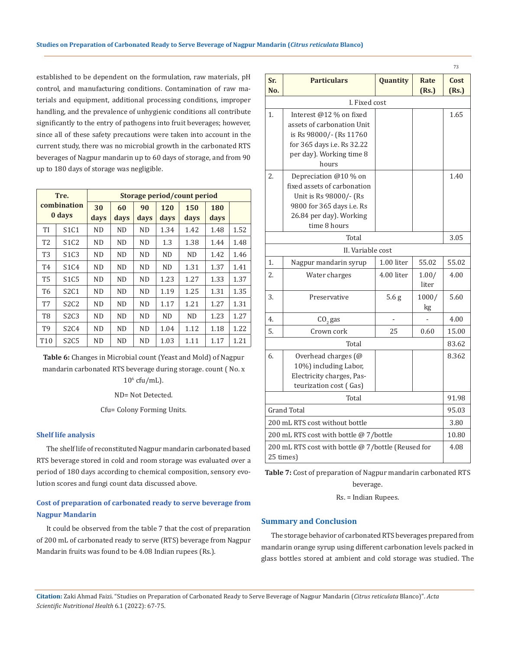established to be dependent on the formulation, raw materials, pH control, and manufacturing conditions. Contamination of raw materials and equipment, additional processing conditions, improper handling, and the prevalence of unhygienic conditions all contribute significantly to the entry of pathogens into fruit beverages; however, since all of these safety precautions were taken into account in the current study, there was no microbial growth in the carbonated RTS beverages of Nagpur mandarin up to 60 days of storage, and from 90 up to 180 days of storage was negligible.

|                 | Tre.                          | Storage period/count period |            |            |             |             |             |      |  |  |  |  |
|-----------------|-------------------------------|-----------------------------|------------|------------|-------------|-------------|-------------|------|--|--|--|--|
|                 | combination<br>0 days         | 30<br>days                  | 60<br>days | 90<br>days | 120<br>days | 150<br>days | 180<br>days |      |  |  |  |  |
| TI              | S1C1                          | <b>ND</b>                   | <b>ND</b>  | <b>ND</b>  | 1.34        | 1.42        | 1.48        | 1.52 |  |  |  |  |
| T <sub>2</sub>  | S <sub>1</sub> C <sub>2</sub> | <b>ND</b>                   | <b>ND</b>  | <b>ND</b>  | 1.3         | 1.38        | 1.44        | 1.48 |  |  |  |  |
| T3              | S <sub>1</sub> C <sub>3</sub> | <b>ND</b>                   | <b>ND</b>  | <b>ND</b>  | <b>ND</b>   | ND          | 1.42        | 1.46 |  |  |  |  |
| T <sub>4</sub>  | S1C4                          | <b>ND</b>                   | ND.        | <b>ND</b>  | <b>ND</b>   | 1.31        | 1.37        | 1.41 |  |  |  |  |
| <b>T5</b>       | S <sub>1</sub> C <sub>5</sub> | <b>ND</b>                   | <b>ND</b>  | <b>ND</b>  | 1.23        | 1.27        | 1.33        | 1.37 |  |  |  |  |
| T <sub>6</sub>  | S2C1                          | <b>ND</b>                   | <b>ND</b>  | <b>ND</b>  | 1.19        | 1.25        | 1.31        | 1.35 |  |  |  |  |
| T7              | S <sub>2</sub> C <sub>2</sub> | <b>ND</b>                   | <b>ND</b>  | <b>ND</b>  | 1.17        | 1.21        | 1.27        | 1.31 |  |  |  |  |
| T8              | S <sub>2</sub> C <sub>3</sub> | N <sub>D</sub>              | <b>ND</b>  | <b>ND</b>  | <b>ND</b>   | <b>ND</b>   | 1.23        | 1.27 |  |  |  |  |
| T9              | S2C4                          | <b>ND</b>                   | <b>ND</b>  | <b>ND</b>  | 1.04        | 1.12        | 1.18        | 1.22 |  |  |  |  |
| T <sub>10</sub> | S <sub>2</sub> C <sub>5</sub> | <b>ND</b>                   | <b>ND</b>  | <b>ND</b>  | 1.03        | 1.11        | 1.17        | 1.21 |  |  |  |  |

**Table 6:** Changes in Microbial count (Yeast and Mold) of Nagpur mandarin carbonated RTS beverage during storage. count ( No. x  $10^6$  cfu/mL).

ND= Not Detected.

Cfu= Colony Forming Units.

#### **Shelf life analysis**

The shelf life of reconstituted Nagpur mandarin carbonated based RTS beverage stored in cold and room storage was evaluated over a period of 180 days according to chemical composition, sensory evolution scores and fungi count data discussed above.

# **Cost of preparation of carbonated ready to serve beverage from Nagpur Mandarin**

It could be observed from the table 7 that the cost of preparation of 200 mL of carbonated ready to serve (RTS) beverage from Nagpur Mandarin fruits was found to be 4.08 Indian rupees (Rs.).

| Sr.<br>No. | <b>Particulars</b>                                                                                                                                     | Quantity         | Rate<br>(Rs.)  | Cost<br>(Rs.) |  |  |  |  |  |  |  |
|------------|--------------------------------------------------------------------------------------------------------------------------------------------------------|------------------|----------------|---------------|--|--|--|--|--|--|--|
|            | I. Fixed cost                                                                                                                                          |                  |                |               |  |  |  |  |  |  |  |
| 1.         | Interest @12 % on fixed<br>assets of carbonation Unit<br>is Rs 98000/- (Rs 11760<br>for 365 days i.e. Rs 32.22<br>per day). Working time 8<br>hours    |                  |                |               |  |  |  |  |  |  |  |
| 2.         | Depreciation @10 % on<br>fixed assets of carbonation<br>Unit is Rs 98000/- (Rs<br>9800 for 365 days i.e. Rs<br>26.84 per day). Working<br>time 8 hours |                  |                | 1.40          |  |  |  |  |  |  |  |
| Total      |                                                                                                                                                        |                  |                |               |  |  |  |  |  |  |  |
|            | II. Variable cost                                                                                                                                      |                  |                |               |  |  |  |  |  |  |  |
| 1.         | Nagpur mandarin syrup                                                                                                                                  | 1.00 liter       | 55.02          | 55.02         |  |  |  |  |  |  |  |
| 2.         | Water charges                                                                                                                                          | 4.00 liter       | 1.00/<br>liter | 4.00          |  |  |  |  |  |  |  |
| 3.         | Preservative                                                                                                                                           | 5.6 <sub>g</sub> | 1000/<br>kg    | 5.60          |  |  |  |  |  |  |  |
| 4.         | $CO$ , gas                                                                                                                                             |                  |                | 4.00          |  |  |  |  |  |  |  |
| 5.         | Crown cork                                                                                                                                             | 25               | 0.60           | 15.00         |  |  |  |  |  |  |  |
|            | Total                                                                                                                                                  |                  |                | 83.62         |  |  |  |  |  |  |  |
| 6.         | Overhead charges (@<br>10%) including Labor,<br>Electricity charges, Pas-<br>teurization cost (Gas)                                                    |                  |                | 8.362         |  |  |  |  |  |  |  |
|            | Total                                                                                                                                                  |                  |                |               |  |  |  |  |  |  |  |
|            | <b>Grand Total</b>                                                                                                                                     |                  |                | 95.03         |  |  |  |  |  |  |  |
|            | 200 mL RTS cost without bottle                                                                                                                         |                  |                | 3.80          |  |  |  |  |  |  |  |
|            | 200 mL RTS cost with bottle @ 7/bottle                                                                                                                 |                  |                | 10.80         |  |  |  |  |  |  |  |
|            | 200 mL RTS cost with bottle @ 7/bottle (Reused for<br>25 times)                                                                                        |                  |                |               |  |  |  |  |  |  |  |

**Table 7:** Cost of preparation of Nagpur mandarin carbonated RTS beverage.

Rs. = Indian Rupees.

## **Summary and Conclusion**

The storage behavior of carbonated RTS beverages prepared from mandarin orange syrup using different carbonation levels packed in glass bottles stored at ambient and cold storage was studied. The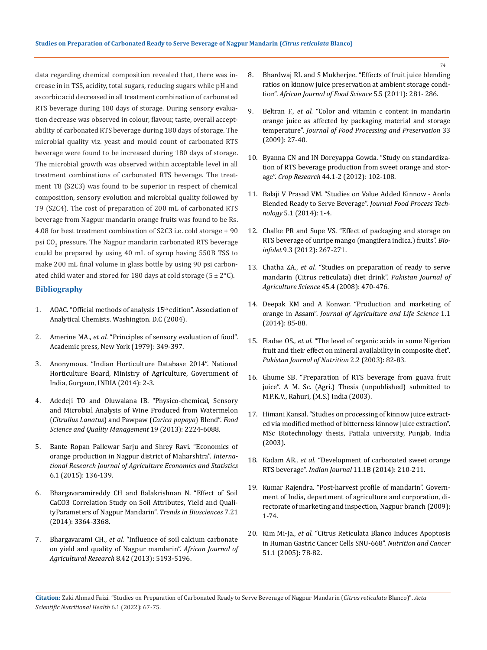data regarding chemical composition revealed that, there was increase in in TSS, acidity, total sugars, reducing sugars while pH and ascorbic acid decreased in all treatment combination of carbonated RTS beverage during 180 days of storage. During sensory evaluation decrease was observed in colour, flavour, taste, overall acceptability of carbonated RTS beverage during 180 days of storage. The microbial quality viz. yeast and mould count of carbonated RTS beverage were found to be increased during 180 days of storage. The microbial growth was observed within acceptable level in all treatment combinations of carbonated RTS beverage. The treatment T8 (S2C3) was found to be superior in respect of chemical composition, sensory evolution and microbial quality followed by T9 (S2C4). The cost of preparation of 200 mL of carbonated RTS beverage from Nagpur mandarin orange fruits was found to be Rs. 4.08 for best treatment combination of S2C3 i.e. cold storage + 90 psi CO<sub>2</sub> pressure. The Nagpur mandarin carbonated RTS beverage could be prepared by using 40 mL of syrup having 550B TSS to make 200 mL final volume in glass bottle by using 90 psi carbonated child water and stored for 180 days at cold storage  $(5 \pm 2^{\circ}C)$ .

## **Bibliography**

- 1. [AOAC. "Official methods of analysis 15](https://www.scirp.org/(S(czeh2tfqyw2orz553k1w0r45))/reference/ReferencesPapers.aspx?ReferenceID=1929875)<sup>th</sup> edition". Association of [Analytical Chemists. Washington. D.C \(2004\).](https://www.scirp.org/(S(czeh2tfqyw2orz553k1w0r45))/reference/ReferencesPapers.aspx?ReferenceID=1929875)
- 2. Amerine MA., *et al.* ["Principles of sensory evaluation of food".](https://www.sciencedirect.com/book/9781483200187/principles-of-sensory-evaluation-of-food)  [Academic press, New York \(1979\): 349-397.](https://www.sciencedirect.com/book/9781483200187/principles-of-sensory-evaluation-of-food)
- 3. [Anonymous. "Indian Horticulture Database 2014". National](https://fdocuments.in/document/indian-horticulture-database-2014.html)  [Horticulture Board, Ministry of Agriculture, Government of](https://fdocuments.in/document/indian-horticulture-database-2014.html)  [India, Gurgaon, INDIA \(2014\): 2-3.](https://fdocuments.in/document/indian-horticulture-database-2014.html)
- 4. [Adedeji TO and Oluwalana IB. "Physico-chemical, Sensory](https://www.iiste.org/Journals/index.php/FSQM/article/viewFile/7493/7732)  [and Microbial Analysis of Wine Produced from Watermelon](https://www.iiste.org/Journals/index.php/FSQM/article/viewFile/7493/7732)  (*[Citrullus Lanatus](https://www.iiste.org/Journals/index.php/FSQM/article/viewFile/7493/7732)*) and Pawpaw (*Carica papaya*) Blend". *Food [Science and Quality Management](https://www.iiste.org/Journals/index.php/FSQM/article/viewFile/7493/7732)* 19 (2013): 2224-6088.
- 5. [Bante Ropan Pallewar Sarju and Shrey Ravi. "Economics of](https://www.researchgate.net/publication/282529046_Economics_of_orange_production_in_Nagpur_district_of_Maharshtra)  [orange production in Nagpur district of Maharshtra".](https://www.researchgate.net/publication/282529046_Economics_of_orange_production_in_Nagpur_district_of_Maharshtra) *Interna[tional Research Journal of Agriculture Economics and Statistics](https://www.researchgate.net/publication/282529046_Economics_of_orange_production_in_Nagpur_district_of_Maharshtra)* [6.1 \(2015\): 136-139.](https://www.researchgate.net/publication/282529046_Economics_of_orange_production_in_Nagpur_district_of_Maharshtra)
- 6. Bhargavaramireddy CH and Balakrishnan N. "Effect of Soil CaCO3 Correlation Study on Soil Attributes, Yield and QualityParameters of Nagpur Mandarin". *Trends in Biosciences* 7.21 (2014): 3364-3368.
- 7. Bhargavarami CH., *et al.* ["Influence of soil calcium carbonate](http://citeseerx.ist.psu.edu/viewdoc/download?doi=10.1.1.1031.2340&rep=rep1&type=pdf)  [on yield and quality of Nagpur mandarin".](http://citeseerx.ist.psu.edu/viewdoc/download?doi=10.1.1.1031.2340&rep=rep1&type=pdf) *African Journal of Agricultural Research* [8.42 \(2013\): 5193-5196.](http://citeseerx.ist.psu.edu/viewdoc/download?doi=10.1.1.1031.2340&rep=rep1&type=pdf)
- 8. [Bhardwaj RL and S Mukherjee. "Effects of fruit juice blending](https://academicjournals.org/article/article1379591129_Bhardwaj%20and%20Mukherjee.pdf)  [ratios on kinnow juice preservation at ambient storage condi](https://academicjournals.org/article/article1379591129_Bhardwaj%20and%20Mukherjee.pdf)tion". *[African Journal of Food Science](https://academicjournals.org/article/article1379591129_Bhardwaj%20and%20Mukherjee.pdf)* 5.5 (2011): 281- 286.
- 9. Beltran F., *et al.* ["Color and vitamin c content in mandarin](https://agris.fao.org/agris-search/search.do?recordID=US201301668410)  [orange juice as affected by packaging material and storage](https://agris.fao.org/agris-search/search.do?recordID=US201301668410)  temperature". *[Journal of Food Processing and Preservation](https://agris.fao.org/agris-search/search.do?recordID=US201301668410)* 33 [\(2009\): 27-40.](https://agris.fao.org/agris-search/search.do?recordID=US201301668410)
- 10. [Byanna CN and IN Doreyappa Gowda. "Study on standardiza](https://www.scitechnol.com/abstract/studies-on-standardization-of-rts-beverage-production-from-sweet-orange-citrus-sinensis-var-sathgudi-and-storage-3127.html)[tion of RTS beverage production from sweet orange and stor](https://www.scitechnol.com/abstract/studies-on-standardization-of-rts-beverage-production-from-sweet-orange-citrus-sinensis-var-sathgudi-and-storage-3127.html)age". *Crop Research* [44.1-2 \(2012\): 102-108.](https://www.scitechnol.com/abstract/studies-on-standardization-of-rts-beverage-production-from-sweet-orange-citrus-sinensis-var-sathgudi-and-storage-3127.html)
- 11. [Balaji V Prasad VM. "Studies on Value Added Kinnow Aonla](https://www.longdom.org/open-access/studies-on-value-added-kinnow-aonla-blended-ready-to-serve-beverage-2157-7110.1000288.pdf)  [Blended Ready to Serve Beverage".](https://www.longdom.org/open-access/studies-on-value-added-kinnow-aonla-blended-ready-to-serve-beverage-2157-7110.1000288.pdf) *Journal Food Process Technology* [5.1 \(2014\): 1-4.](https://www.longdom.org/open-access/studies-on-value-added-kinnow-aonla-blended-ready-to-serve-beverage-2157-7110.1000288.pdf)
- 12. [Chalke PR and Supe VS. "Effect of packaging and storage on](https://www.indianjournals.com/ijor.aspx?target=ijor:bil&volume=9&issue=3&article=007)  [RTS beverage of unripe mango \(mangifera indica.\) fruits".](https://www.indianjournals.com/ijor.aspx?target=ijor:bil&volume=9&issue=3&article=007) *Bioinfolet* [9.3 \(2012\): 267-271.](https://www.indianjournals.com/ijor.aspx?target=ijor:bil&volume=9&issue=3&article=007)
- 13. Chatha ZA., *et al.* ["Studies on preparation of ready to serve](https://www.researchgate.net/publication/216695278_Studies_on_preparation_of_ready_to_serve_mandarin_Citrus_reticulata_diet_drink)  [mandarin \(Citrus reticulata\) diet drink".](https://www.researchgate.net/publication/216695278_Studies_on_preparation_of_ready_to_serve_mandarin_Citrus_reticulata_diet_drink) *Pakistan Journal of [Agriculture Science](https://www.researchgate.net/publication/216695278_Studies_on_preparation_of_ready_to_serve_mandarin_Citrus_reticulata_diet_drink)* 45.4 (2008): 470-476.
- 14. [Deepak KM and A Konwar. "Production and marketing of](https://jalsnet.com/journals/Vol_1_No_1_June_2014/9.pdf)  orange in Assam". *[Journal of Agriculture and Life](https://jalsnet.com/journals/Vol_1_No_1_June_2014/9.pdf) Science* 1.1 [\(2014\): 85-88.](https://jalsnet.com/journals/Vol_1_No_1_June_2014/9.pdf)
- 15. Fladae OS., *et al.* ["The level of organic acids in some Nigerian](https://www.researchgate.net/publication/26563292_The_Level_of_Organic_Acids_in_Some_Nigerian_Fruits_and_their_Effect_on_Mineral_Availability_in_Composite_Diets)  [fruit and their effect on mineral availability in composite diet".](https://www.researchgate.net/publication/26563292_The_Level_of_Organic_Acids_in_Some_Nigerian_Fruits_and_their_Effect_on_Mineral_Availability_in_Composite_Diets)  *[Pakistan Journal of Nutrition](https://www.researchgate.net/publication/26563292_The_Level_of_Organic_Acids_in_Some_Nigerian_Fruits_and_their_Effect_on_Mineral_Availability_in_Composite_Diets)* 2.2 (2003): 82-83.
- 16. Ghume SB. "Preparation of RTS beverage from guava fruit juice". A M. Sc. (Agri.) Thesis (unpublished) submitted to M.P.K.V., Rahuri, (M.S.) India (2003).
- 17. [Himani Kansal. "Studies on processing of kinnow juice extract](https://www.semanticscholar.org/paper/STUDIES-ON-PROCESSING-OF-KINNOW-JUICE-EXTRACTED-VIA-Kansal-Khandelwal/f7d608cb67a355c778356554fef406e531f23bee)[ed via modified method of bitterness kinnow juice extraction".](https://www.semanticscholar.org/paper/STUDIES-ON-PROCESSING-OF-KINNOW-JUICE-EXTRACTED-VIA-Kansal-Khandelwal/f7d608cb67a355c778356554fef406e531f23bee)  [MSc Biotechnology thesis, Patiala university, Punjab, India](https://www.semanticscholar.org/paper/STUDIES-ON-PROCESSING-OF-KINNOW-JUICE-EXTRACTED-VIA-Kansal-Khandelwal/f7d608cb67a355c778356554fef406e531f23bee)  [\(2003\).](https://www.semanticscholar.org/paper/STUDIES-ON-PROCESSING-OF-KINNOW-JUICE-EXTRACTED-VIA-Kansal-Khandelwal/f7d608cb67a355c778356554fef406e531f23bee)
- 18. Kadam AR., *et al.* "Development of carbonated sweet orange RTS beverage". *Indian Journal* 11.1B (2014): 210-211.
- 19. [Kumar Rajendra. "Post-harvest profile of mandarin". Govern](https://agmarknet.gov.in/Others/preface-mandarin.pdf)[ment of India, department of agriculture and corporation, di](https://agmarknet.gov.in/Others/preface-mandarin.pdf)[rectorate of marketing and inspection, Nagpur branch \(2009\):](https://agmarknet.gov.in/Others/preface-mandarin.pdf)  [1-74.](https://agmarknet.gov.in/Others/preface-mandarin.pdf)
- 20. Kim Mi-Ja., *et al.* ["Citrus Reticulata Blanco Induces Apoptosis](https://pubmed.ncbi.nlm.nih.gov/15749633/)  [in Human Gastric Cancer Cells SNU-668".](https://pubmed.ncbi.nlm.nih.gov/15749633/) *Nutrition and Cancer* [51.1 \(2005\): 78-82.](https://pubmed.ncbi.nlm.nih.gov/15749633/)

**Citation:** Zaki Ahmad Faizi. "Studies on Preparation of Carbonated Ready to Serve Beverage of Nagpur Mandarin (*Citrus reticulata* Blanco)". *Acta Scientific Nutritional Health* 6.1 (2022): 67-75.

74